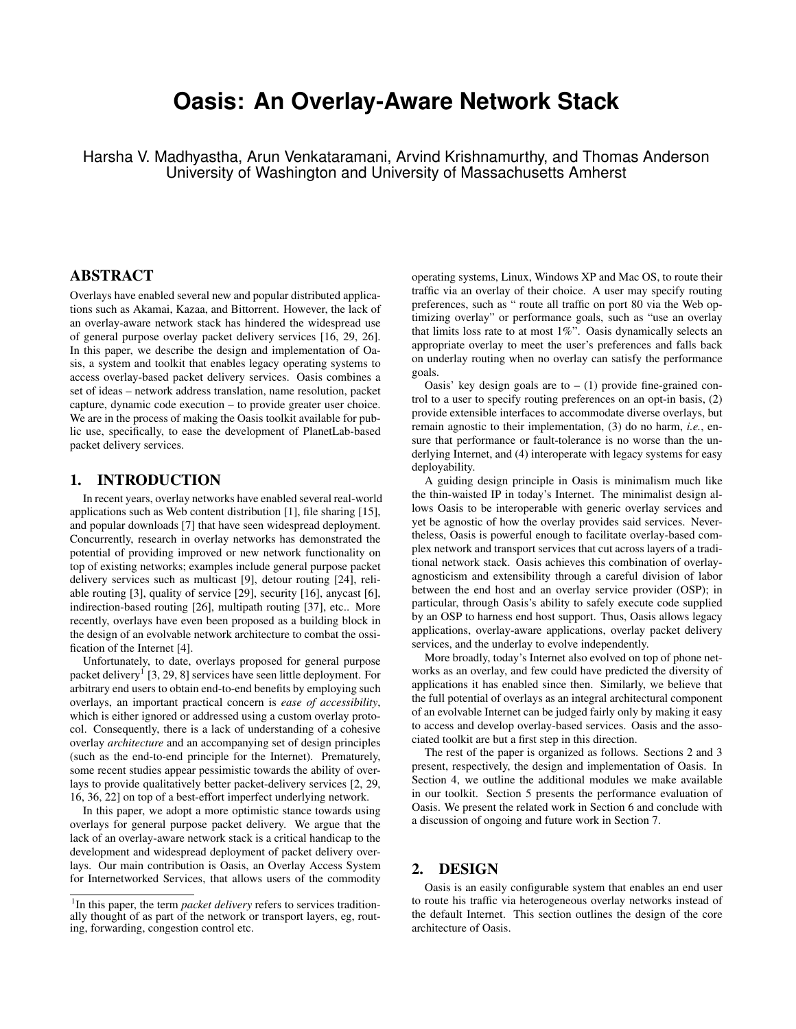# **Oasis: An Overlay-Aware Network Stack**

Harsha V. Madhyastha, Arun Venkataramani, Arvind Krishnamurthy, and Thomas Anderson University of Washington and University of Massachusetts Amherst

## ABSTRACT

Overlays have enabled several new and popular distributed applications such as Akamai, Kazaa, and Bittorrent. However, the lack of an overlay-aware network stack has hindered the widespread use of general purpose overlay packet delivery services [16, 29, 26]. In this paper, we describe the design and implementation of Oasis, a system and toolkit that enables legacy operating systems to access overlay-based packet delivery services. Oasis combines a set of ideas – network address translation, name resolution, packet capture, dynamic code execution – to provide greater user choice. We are in the process of making the Oasis toolkit available for public use, specifically, to ease the development of PlanetLab-based packet delivery services.

## 1. INTRODUCTION

In recent years, overlay networks have enabled several real-world applications such as Web content distribution [1], file sharing [15], and popular downloads [7] that have seen widespread deployment. Concurrently, research in overlay networks has demonstrated the potential of providing improved or new network functionality on top of existing networks; examples include general purpose packet delivery services such as multicast [9], detour routing [24], reliable routing [3], quality of service [29], security [16], anycast [6], indirection-based routing [26], multipath routing [37], etc.. More recently, overlays have even been proposed as a building block in the design of an evolvable network architecture to combat the ossification of the Internet [4].

Unfortunately, to date, overlays proposed for general purpose packet delivery<sup>1</sup> [3, 29, 8] services have seen little deployment. For arbitrary end users to obtain end-to-end benefits by employing such overlays, an important practical concern is *ease of accessibility*, which is either ignored or addressed using a custom overlay protocol. Consequently, there is a lack of understanding of a cohesive overlay *architecture* and an accompanying set of design principles (such as the end-to-end principle for the Internet). Prematurely, some recent studies appear pessimistic towards the ability of overlays to provide qualitatively better packet-delivery services [2, 29, 16, 36, 22] on top of a best-effort imperfect underlying network.

In this paper, we adopt a more optimistic stance towards using overlays for general purpose packet delivery. We argue that the lack of an overlay-aware network stack is a critical handicap to the development and widespread deployment of packet delivery overlays. Our main contribution is Oasis, an Overlay Access System for Internetworked Services, that allows users of the commodity

operating systems, Linux, Windows XP and Mac OS, to route their traffic via an overlay of their choice. A user may specify routing preferences, such as " route all traffic on port 80 via the Web optimizing overlay" or performance goals, such as "use an overlay that limits loss rate to at most 1%". Oasis dynamically selects an appropriate overlay to meet the user's preferences and falls back on underlay routing when no overlay can satisfy the performance goals.

Oasis' key design goals are to  $- (1)$  provide fine-grained control to a user to specify routing preferences on an opt-in basis, (2) provide extensible interfaces to accommodate diverse overlays, but remain agnostic to their implementation, (3) do no harm, *i.e.*, ensure that performance or fault-tolerance is no worse than the underlying Internet, and (4) interoperate with legacy systems for easy deployability.

A guiding design principle in Oasis is minimalism much like the thin-waisted IP in today's Internet. The minimalist design allows Oasis to be interoperable with generic overlay services and yet be agnostic of how the overlay provides said services. Nevertheless, Oasis is powerful enough to facilitate overlay-based complex network and transport services that cut across layers of a traditional network stack. Oasis achieves this combination of overlayagnosticism and extensibility through a careful division of labor between the end host and an overlay service provider (OSP); in particular, through Oasis's ability to safely execute code supplied by an OSP to harness end host support. Thus, Oasis allows legacy applications, overlay-aware applications, overlay packet delivery services, and the underlay to evolve independently.

More broadly, today's Internet also evolved on top of phone networks as an overlay, and few could have predicted the diversity of applications it has enabled since then. Similarly, we believe that the full potential of overlays as an integral architectural component of an evolvable Internet can be judged fairly only by making it easy to access and develop overlay-based services. Oasis and the associated toolkit are but a first step in this direction.

The rest of the paper is organized as follows. Sections 2 and 3 present, respectively, the design and implementation of Oasis. In Section 4, we outline the additional modules we make available in our toolkit. Section 5 presents the performance evaluation of Oasis. We present the related work in Section 6 and conclude with a discussion of ongoing and future work in Section 7.

## 2. DESIGN

Oasis is an easily configurable system that enables an end user to route his traffic via heterogeneous overlay networks instead of the default Internet. This section outlines the design of the core architecture of Oasis.

<sup>&</sup>lt;sup>1</sup>In this paper, the term *packet delivery* refers to services traditionally thought of as part of the network or transport layers, eg, routing, forwarding, congestion control etc.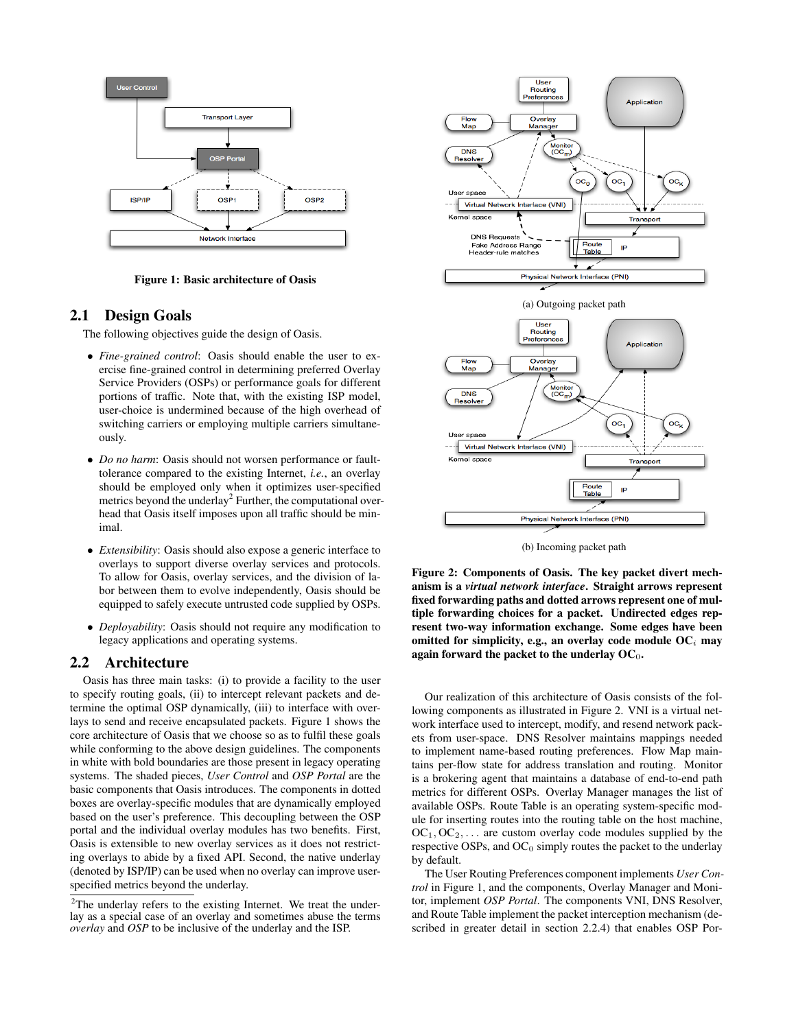

Figure 1: Basic architecture of Oasis

## 2.1 Design Goals

The following objectives guide the design of Oasis.

- *Fine-grained control*: Oasis should enable the user to exercise fine-grained control in determining preferred Overlay Service Providers (OSPs) or performance goals for different portions of traffic. Note that, with the existing ISP model, user-choice is undermined because of the high overhead of switching carriers or employing multiple carriers simultaneously.
- *Do no harm*: Oasis should not worsen performance or faulttolerance compared to the existing Internet, *i.e.*, an overlay should be employed only when it optimizes user-specified metrics beyond the underlay<sup>2</sup> Further, the computational overhead that Oasis itself imposes upon all traffic should be minimal.
- *Extensibility*: Oasis should also expose a generic interface to overlays to support diverse overlay services and protocols. To allow for Oasis, overlay services, and the division of labor between them to evolve independently, Oasis should be equipped to safely execute untrusted code supplied by OSPs.
- *Deployability*: Oasis should not require any modification to legacy applications and operating systems.

## 2.2 Architecture

Oasis has three main tasks: (i) to provide a facility to the user to specify routing goals, (ii) to intercept relevant packets and determine the optimal OSP dynamically, (iii) to interface with overlays to send and receive encapsulated packets. Figure 1 shows the core architecture of Oasis that we choose so as to fulfil these goals while conforming to the above design guidelines. The components in white with bold boundaries are those present in legacy operating systems. The shaded pieces, *User Control* and *OSP Portal* are the basic components that Oasis introduces. The components in dotted boxes are overlay-specific modules that are dynamically employed based on the user's preference. This decoupling between the OSP portal and the individual overlay modules has two benefits. First, Oasis is extensible to new overlay services as it does not restricting overlays to abide by a fixed API. Second, the native underlay (denoted by ISP/IP) can be used when no overlay can improve userspecified metrics beyond the underlay.



(a) Outgoing packet path



(b) Incoming packet path

Figure 2: Components of Oasis. The key packet divert mechanism is a *virtual network interface*. Straight arrows represent fixed forwarding paths and dotted arrows represent one of multiple forwarding choices for a packet. Undirected edges represent two-way information exchange. Some edges have been omitted for simplicity, e.g., an overlay code module  $OC<sub>i</sub>$  may again forward the packet to the underlay  $OC_0$ .

Our realization of this architecture of Oasis consists of the following components as illustrated in Figure 2. VNI is a virtual network interface used to intercept, modify, and resend network packets from user-space. DNS Resolver maintains mappings needed to implement name-based routing preferences. Flow Map maintains per-flow state for address translation and routing. Monitor is a brokering agent that maintains a database of end-to-end path metrics for different OSPs. Overlay Manager manages the list of available OSPs. Route Table is an operating system-specific module for inserting routes into the routing table on the host machine,  $OC_1, OC_2, \ldots$  are custom overlay code modules supplied by the respective OSPs, and  $OC<sub>0</sub>$  simply routes the packet to the underlay by default.

The User Routing Preferences component implements *User Control* in Figure 1, and the components, Overlay Manager and Monitor, implement *OSP Portal*. The components VNI, DNS Resolver, and Route Table implement the packet interception mechanism (described in greater detail in section 2.2.4) that enables OSP Por-

<sup>&</sup>lt;sup>2</sup>The underlay refers to the existing Internet. We treat the underlay as a special case of an overlay and sometimes abuse the terms *overlay* and *OSP* to be inclusive of the underlay and the ISP.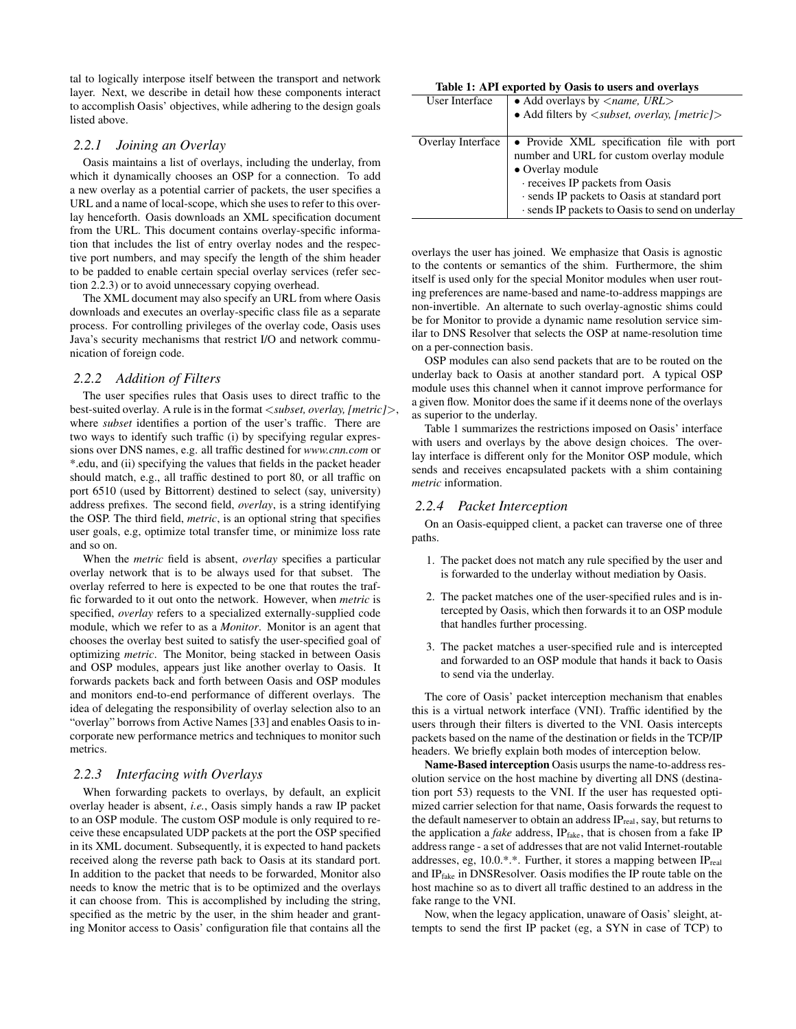tal to logically interpose itself between the transport and network layer. Next, we describe in detail how these components interact to accomplish Oasis' objectives, while adhering to the design goals listed above.

## *2.2.1 Joining an Overlay*

Oasis maintains a list of overlays, including the underlay, from which it dynamically chooses an OSP for a connection. To add a new overlay as a potential carrier of packets, the user specifies a URL and a name of local-scope, which she uses to refer to this overlay henceforth. Oasis downloads an XML specification document from the URL. This document contains overlay-specific information that includes the list of entry overlay nodes and the respective port numbers, and may specify the length of the shim header to be padded to enable certain special overlay services (refer section 2.2.3) or to avoid unnecessary copying overhead.

The XML document may also specify an URL from where Oasis downloads and executes an overlay-specific class file as a separate process. For controlling privileges of the overlay code, Oasis uses Java's security mechanisms that restrict I/O and network communication of foreign code.

#### *2.2.2 Addition of Filters*

The user specifies rules that Oasis uses to direct traffic to the best-suited overlay. A rule is in the format <*subset, overlay, [metric]*>, where *subset* identifies a portion of the user's traffic. There are two ways to identify such traffic (i) by specifying regular expressions over DNS names, e.g. all traffic destined for *www.cnn.com* or \*.edu, and (ii) specifying the values that fields in the packet header should match, e.g., all traffic destined to port 80, or all traffic on port 6510 (used by Bittorrent) destined to select (say, university) address prefixes. The second field, *overlay*, is a string identifying the OSP. The third field, *metric*, is an optional string that specifies user goals, e.g, optimize total transfer time, or minimize loss rate and so on.

When the *metric* field is absent, *overlay* specifies a particular overlay network that is to be always used for that subset. The overlay referred to here is expected to be one that routes the traffic forwarded to it out onto the network. However, when *metric* is specified, *overlay* refers to a specialized externally-supplied code module, which we refer to as a *Monitor*. Monitor is an agent that chooses the overlay best suited to satisfy the user-specified goal of optimizing *metric*. The Monitor, being stacked in between Oasis and OSP modules, appears just like another overlay to Oasis. It forwards packets back and forth between Oasis and OSP modules and monitors end-to-end performance of different overlays. The idea of delegating the responsibility of overlay selection also to an "overlay" borrows from Active Names [33] and enables Oasis to incorporate new performance metrics and techniques to monitor such metrics.

#### *2.2.3 Interfacing with Overlays*

When forwarding packets to overlays, by default, an explicit overlay header is absent, *i.e.*, Oasis simply hands a raw IP packet to an OSP module. The custom OSP module is only required to receive these encapsulated UDP packets at the port the OSP specified in its XML document. Subsequently, it is expected to hand packets received along the reverse path back to Oasis at its standard port. In addition to the packet that needs to be forwarded, Monitor also needs to know the metric that is to be optimized and the overlays it can choose from. This is accomplished by including the string, specified as the metric by the user, in the shim header and granting Monitor access to Oasis' configuration file that contains all the

#### Table 1: API exported by Oasis to users and overlays

| User Interface    | • Add overlays by $\langle$ <i>name</i> , URL $>$<br>• Add filters by <subset, [metric]="" overlay,=""></subset,>                 |
|-------------------|-----------------------------------------------------------------------------------------------------------------------------------|
| Overlay Interface | • Provide XML specification file with port number and URL for custom overlay module<br>$\bullet$ Overlay module                   |
|                   | · receives IP packets from Oasis<br>sends IP packets to Oasis at standard port<br>· sends IP packets to Oasis to send on underlay |

overlays the user has joined. We emphasize that Oasis is agnostic to the contents or semantics of the shim. Furthermore, the shim itself is used only for the special Monitor modules when user routing preferences are name-based and name-to-address mappings are non-invertible. An alternate to such overlay-agnostic shims could be for Monitor to provide a dynamic name resolution service similar to DNS Resolver that selects the OSP at name-resolution time on a per-connection basis.

OSP modules can also send packets that are to be routed on the underlay back to Oasis at another standard port. A typical OSP module uses this channel when it cannot improve performance for a given flow. Monitor does the same if it deems none of the overlays as superior to the underlay.

Table 1 summarizes the restrictions imposed on Oasis' interface with users and overlays by the above design choices. The overlay interface is different only for the Monitor OSP module, which sends and receives encapsulated packets with a shim containing *metric* information.

#### *2.2.4 Packet Interception*

On an Oasis-equipped client, a packet can traverse one of three paths.

- 1. The packet does not match any rule specified by the user and is forwarded to the underlay without mediation by Oasis.
- 2. The packet matches one of the user-specified rules and is intercepted by Oasis, which then forwards it to an OSP module that handles further processing.
- 3. The packet matches a user-specified rule and is intercepted and forwarded to an OSP module that hands it back to Oasis to send via the underlay.

The core of Oasis' packet interception mechanism that enables this is a virtual network interface (VNI). Traffic identified by the users through their filters is diverted to the VNI. Oasis intercepts packets based on the name of the destination or fields in the TCP/IP headers. We briefly explain both modes of interception below.

Name-Based interception Oasis usurps the name-to-address resolution service on the host machine by diverting all DNS (destination port 53) requests to the VNI. If the user has requested optimized carrier selection for that name, Oasis forwards the request to the default nameserver to obtain an address  $IP_{real}$ , say, but returns to the application a *fake* address, IPfake, that is chosen from a fake IP address range - a set of addresses that are not valid Internet-routable addresses, eg,  $10.0$ .\*.\*. Further, it stores a mapping between IP<sub>real</sub> and IPfake in DNSResolver. Oasis modifies the IP route table on the host machine so as to divert all traffic destined to an address in the fake range to the VNI.

Now, when the legacy application, unaware of Oasis' sleight, attempts to send the first IP packet (eg, a SYN in case of TCP) to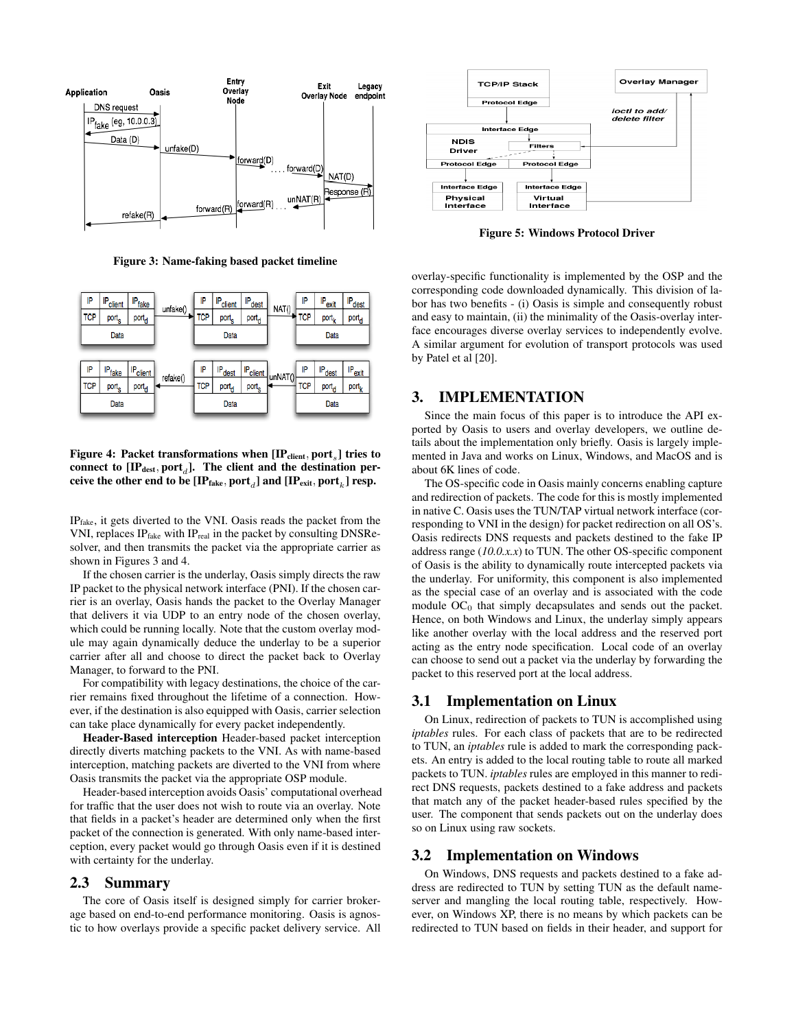

Figure 3: Name-faking based packet timeline



Figure 4: Packet transformations when  $[\mathbf{IP}_{\text{client}}, \text{port}_{s}]$  tries to connect to  $[\mathbf{IP}_{dest}, \text{port}_d]$ . The client and the destination perceive the other end to be  $[\mathbf{IP}_{\text{fake}}, \text{port}_d]$  and  $[\mathbf{IP}_{\text{exit}}, \text{port}_k]$  resp.

IPfake, it gets diverted to the VNI. Oasis reads the packet from the VNI, replaces IP<sub>fake</sub> with IP<sub>real</sub> in the packet by consulting DNSResolver, and then transmits the packet via the appropriate carrier as shown in Figures 3 and 4.

If the chosen carrier is the underlay, Oasis simply directs the raw IP packet to the physical network interface (PNI). If the chosen carrier is an overlay, Oasis hands the packet to the Overlay Manager that delivers it via UDP to an entry node of the chosen overlay, which could be running locally. Note that the custom overlay module may again dynamically deduce the underlay to be a superior carrier after all and choose to direct the packet back to Overlay Manager, to forward to the PNI.

For compatibility with legacy destinations, the choice of the carrier remains fixed throughout the lifetime of a connection. However, if the destination is also equipped with Oasis, carrier selection can take place dynamically for every packet independently.

Header-Based interception Header-based packet interception directly diverts matching packets to the VNI. As with name-based interception, matching packets are diverted to the VNI from where Oasis transmits the packet via the appropriate OSP module.

Header-based interception avoids Oasis' computational overhead for traffic that the user does not wish to route via an overlay. Note that fields in a packet's header are determined only when the first packet of the connection is generated. With only name-based interception, every packet would go through Oasis even if it is destined with certainty for the underlay.

## 2.3 Summary

The core of Oasis itself is designed simply for carrier brokerage based on end-to-end performance monitoring. Oasis is agnostic to how overlays provide a specific packet delivery service. All



Figure 5: Windows Protocol Driver

overlay-specific functionality is implemented by the OSP and the corresponding code downloaded dynamically. This division of labor has two benefits - (i) Oasis is simple and consequently robust and easy to maintain, (ii) the minimality of the Oasis-overlay interface encourages diverse overlay services to independently evolve. A similar argument for evolution of transport protocols was used by Patel et al [20].

### 3. IMPLEMENTATION

Since the main focus of this paper is to introduce the API exported by Oasis to users and overlay developers, we outline details about the implementation only briefly. Oasis is largely implemented in Java and works on Linux, Windows, and MacOS and is about 6K lines of code.

The OS-specific code in Oasis mainly concerns enabling capture and redirection of packets. The code for this is mostly implemented in native C. Oasis uses the TUN/TAP virtual network interface (corresponding to VNI in the design) for packet redirection on all OS's. Oasis redirects DNS requests and packets destined to the fake IP address range (*10.0.x.x*) to TUN. The other OS-specific component of Oasis is the ability to dynamically route intercepted packets via the underlay. For uniformity, this component is also implemented as the special case of an overlay and is associated with the code module  $OC<sub>0</sub>$  that simply decapsulates and sends out the packet. Hence, on both Windows and Linux, the underlay simply appears like another overlay with the local address and the reserved port acting as the entry node specification. Local code of an overlay can choose to send out a packet via the underlay by forwarding the packet to this reserved port at the local address.

#### 3.1 Implementation on Linux

On Linux, redirection of packets to TUN is accomplished using *iptables* rules. For each class of packets that are to be redirected to TUN, an *iptables* rule is added to mark the corresponding packets. An entry is added to the local routing table to route all marked packets to TUN. *iptables* rules are employed in this manner to redirect DNS requests, packets destined to a fake address and packets that match any of the packet header-based rules specified by the user. The component that sends packets out on the underlay does so on Linux using raw sockets.

## 3.2 Implementation on Windows

On Windows, DNS requests and packets destined to a fake address are redirected to TUN by setting TUN as the default nameserver and mangling the local routing table, respectively. However, on Windows XP, there is no means by which packets can be redirected to TUN based on fields in their header, and support for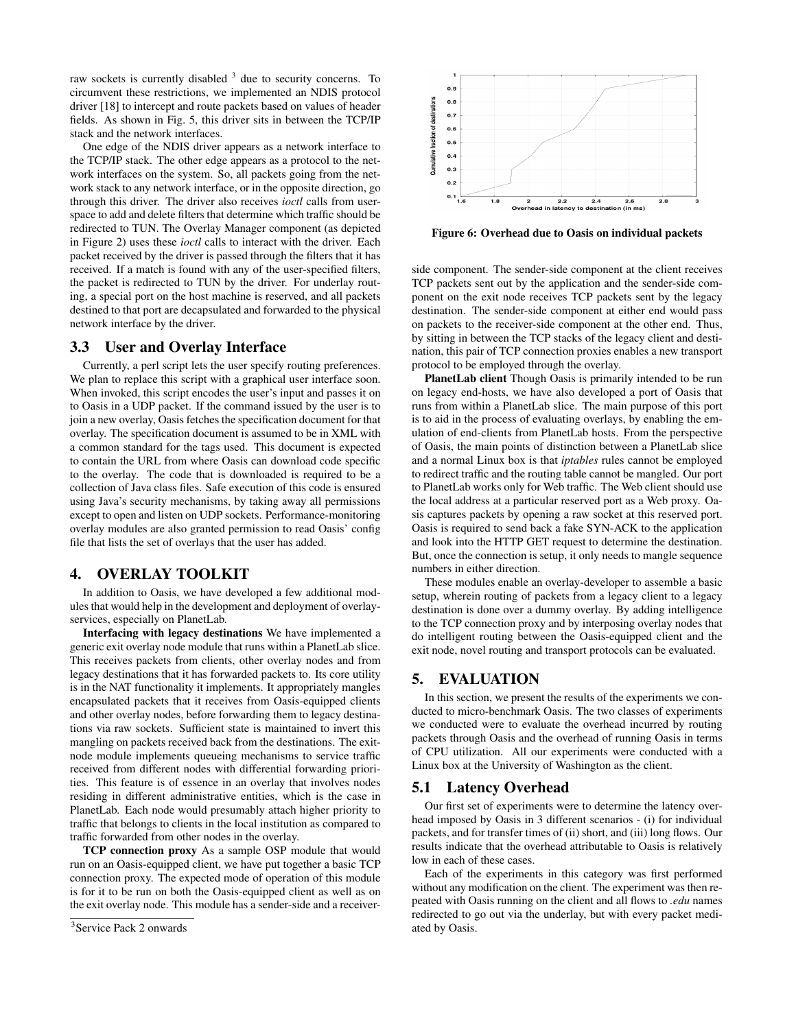raw sockets is currently disabled <sup>3</sup> due to security concerns. To circumvent these restrictions, we implemented an NDIS protocol driver [18] to intercept and route packets based on values of header fields. As shown in Fig. 5, this driver sits in between the TCP/IP stack and the network interfaces.

One edge of the NDIS driver appears as a network interface to the TCP/IP stack. The other edge appears as a protocol to the network interfaces on the system. So, all packets going from the network stack to any network interface, or in the opposite direction, go through this driver. The driver also receives *ioctl* calls from userspace to add and delete filters that determine which traffic should be redirected to TUN. The Overlay Manager component (as depicted in Figure 2) uses these *ioctl* calls to interact with the driver. Each packet received by the driver is passed through the filters that it has received. If a match is found with any of the user-specified filters, the packet is redirected to TUN by the driver. For underlay routing, a special port on the host machine is reserved, and all packets destined to that port are decapsulated and forwarded to the physical network interface by the driver.

#### 3.3 User and Overlay Interface

Currently, a perl script lets the user specify routing preferences. We plan to replace this script with a graphical user interface soon. When invoked, this script encodes the user's input and passes it on to Oasis in a UDP packet. If the command issued by the user is to join a new overlay, Oasis fetches the specification document for that overlay. The specification document is assumed to be in XML with a common standard for the tags used. This document is expected to contain the URL from where Oasis can download code specific to the overlay. The code that is downloaded is required to be a collection of Java class files. Safe execution of this code is ensured using Java's security mechanisms, by taking away all permissions except to open and listen on UDP sockets. Performance-monitoring overlay modules are also granted permission to read Oasis' config file that lists the set of overlays that the user has added.

## 4. OVERLAY TOOLKIT

In addition to Oasis, we have developed a few additional modules that would help in the development and deployment of overlayservices, especially on PlanetLab.

Interfacing with legacy destinations We have implemented a generic exit overlay node module that runs within a PlanetLab slice. This receives packets from clients, other overlay nodes and from legacy destinations that it has forwarded packets to. Its core utility is in the NAT functionality it implements. It appropriately mangles encapsulated packets that it receives from Oasis-equipped clients and other overlay nodes, before forwarding them to legacy destinations via raw sockets. Sufficient state is maintained to invert this mangling on packets received back from the destinations. The exitnode module implements queueing mechanisms to service traffic received from different nodes with differential forwarding priorities. This feature is of essence in an overlay that involves nodes residing in different administrative entities, which is the case in PlanetLab. Each node would presumably attach higher priority to traffic that belongs to clients in the local institution as compared to traffic forwarded from other nodes in the overlay.

TCP connection proxy As a sample OSP module that would run on an Oasis-equipped client, we have put together a basic TCP connection proxy. The expected mode of operation of this module is for it to be run on both the Oasis-equipped client as well as on the exit overlay node. This module has a sender-side and a receiver-



Figure 6: Overhead due to Oasis on individual packets

side component. The sender-side component at the client receives TCP packets sent out by the application and the sender-side component on the exit node receives TCP packets sent by the legacy destination. The sender-side component at either end would pass on packets to the receiver-side component at the other end. Thus, by sitting in between the TCP stacks of the legacy client and destination, this pair of TCP connection proxies enables a new transport protocol to be employed through the overlay.

PlanetLab client Though Oasis is primarily intended to be run on legacy end-hosts, we have also developed a port of Oasis that runs from within a PlanetLab slice. The main purpose of this port is to aid in the process of evaluating overlays, by enabling the emulation of end-clients from PlanetLab hosts. From the perspective of Oasis, the main points of distinction between a PlanetLab slice and a normal Linux box is that *iptables* rules cannot be employed to redirect traffic and the routing table cannot be mangled. Our port to PlanetLab works only for Web traffic. The Web client should use the local address at a particular reserved port as a Web proxy. Oasis captures packets by opening a raw socket at this reserved port. Oasis is required to send back a fake SYN-ACK to the application and look into the HTTP GET request to determine the destination. But, once the connection is setup, it only needs to mangle sequence numbers in either direction.

These modules enable an overlay-developer to assemble a basic setup, wherein routing of packets from a legacy client to a legacy destination is done over a dummy overlay. By adding intelligence to the TCP connection proxy and by interposing overlay nodes that do intelligent routing between the Oasis-equipped client and the exit node, novel routing and transport protocols can be evaluated.

## 5. EVALUATION

In this section, we present the results of the experiments we conducted to micro-benchmark Oasis. The two classes of experiments we conducted were to evaluate the overhead incurred by routing packets through Oasis and the overhead of running Oasis in terms of CPU utilization. All our experiments were conducted with a Linux box at the University of Washington as the client.

#### 5.1 Latency Overhead

Our first set of experiments were to determine the latency overhead imposed by Oasis in 3 different scenarios - (i) for individual packets, and for transfer times of (ii) short, and (iii) long flows. Our results indicate that the overhead attributable to Oasis is relatively low in each of these cases.

Each of the experiments in this category was first performed without any modification on the client. The experiment was then repeated with Oasis running on the client and all flows to *.edu* names redirected to go out via the underlay, but with every packet mediated by Oasis.

<sup>&</sup>lt;sup>3</sup>Service Pack 2 onwards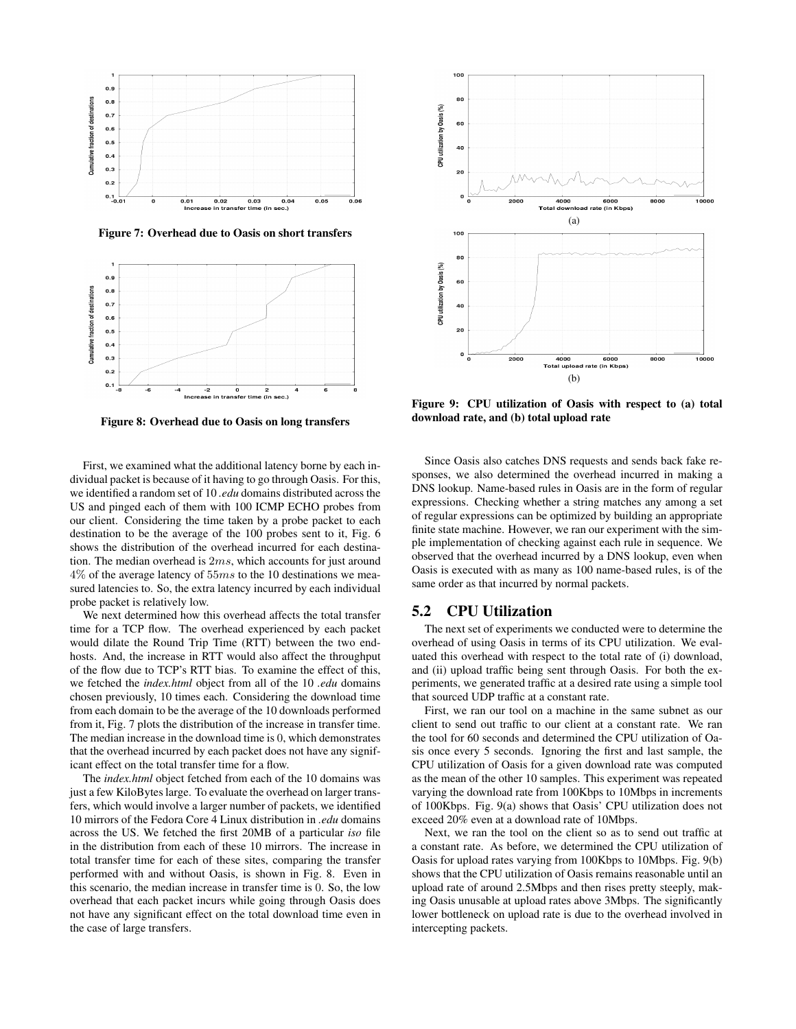

Figure 7: Overhead due to Oasis on short transfers



Figure 8: Overhead due to Oasis on long transfers

First, we examined what the additional latency borne by each individual packet is because of it having to go through Oasis. For this, we identified a random set of 10 *.edu* domains distributed across the US and pinged each of them with 100 ICMP ECHO probes from our client. Considering the time taken by a probe packet to each destination to be the average of the 100 probes sent to it, Fig. 6 shows the distribution of the overhead incurred for each destination. The median overhead is  $2ms$ , which accounts for just around  $4\%$  of the average latency of  $55ms$  to the 10 destinations we measured latencies to. So, the extra latency incurred by each individual probe packet is relatively low.

We next determined how this overhead affects the total transfer time for a TCP flow. The overhead experienced by each packet would dilate the Round Trip Time (RTT) between the two endhosts. And, the increase in RTT would also affect the throughput of the flow due to TCP's RTT bias. To examine the effect of this, we fetched the *index.html* object from all of the 10 *.edu* domains chosen previously, 10 times each. Considering the download time from each domain to be the average of the 10 downloads performed from it, Fig. 7 plots the distribution of the increase in transfer time. The median increase in the download time is 0, which demonstrates that the overhead incurred by each packet does not have any significant effect on the total transfer time for a flow.

The *index.html* object fetched from each of the 10 domains was just a few KiloBytes large. To evaluate the overhead on larger transfers, which would involve a larger number of packets, we identified 10 mirrors of the Fedora Core 4 Linux distribution in *.edu* domains across the US. We fetched the first 20MB of a particular *iso* file in the distribution from each of these 10 mirrors. The increase in total transfer time for each of these sites, comparing the transfer performed with and without Oasis, is shown in Fig. 8. Even in this scenario, the median increase in transfer time is 0. So, the low overhead that each packet incurs while going through Oasis does not have any significant effect on the total download time even in the case of large transfers.



Figure 9: CPU utilization of Oasis with respect to (a) total download rate, and (b) total upload rate

Since Oasis also catches DNS requests and sends back fake responses, we also determined the overhead incurred in making a DNS lookup. Name-based rules in Oasis are in the form of regular expressions. Checking whether a string matches any among a set of regular expressions can be optimized by building an appropriate finite state machine. However, we ran our experiment with the simple implementation of checking against each rule in sequence. We observed that the overhead incurred by a DNS lookup, even when Oasis is executed with as many as 100 name-based rules, is of the same order as that incurred by normal packets.

## 5.2 CPU Utilization

The next set of experiments we conducted were to determine the overhead of using Oasis in terms of its CPU utilization. We evaluated this overhead with respect to the total rate of (i) download, and (ii) upload traffic being sent through Oasis. For both the experiments, we generated traffic at a desired rate using a simple tool that sourced UDP traffic at a constant rate.

First, we ran our tool on a machine in the same subnet as our client to send out traffic to our client at a constant rate. We ran the tool for 60 seconds and determined the CPU utilization of Oasis once every 5 seconds. Ignoring the first and last sample, the CPU utilization of Oasis for a given download rate was computed as the mean of the other 10 samples. This experiment was repeated varying the download rate from 100Kbps to 10Mbps in increments of 100Kbps. Fig. 9(a) shows that Oasis' CPU utilization does not exceed 20% even at a download rate of 10Mbps.

Next, we ran the tool on the client so as to send out traffic at a constant rate. As before, we determined the CPU utilization of Oasis for upload rates varying from 100Kbps to 10Mbps. Fig. 9(b) shows that the CPU utilization of Oasis remains reasonable until an upload rate of around 2.5Mbps and then rises pretty steeply, making Oasis unusable at upload rates above 3Mbps. The significantly lower bottleneck on upload rate is due to the overhead involved in intercepting packets.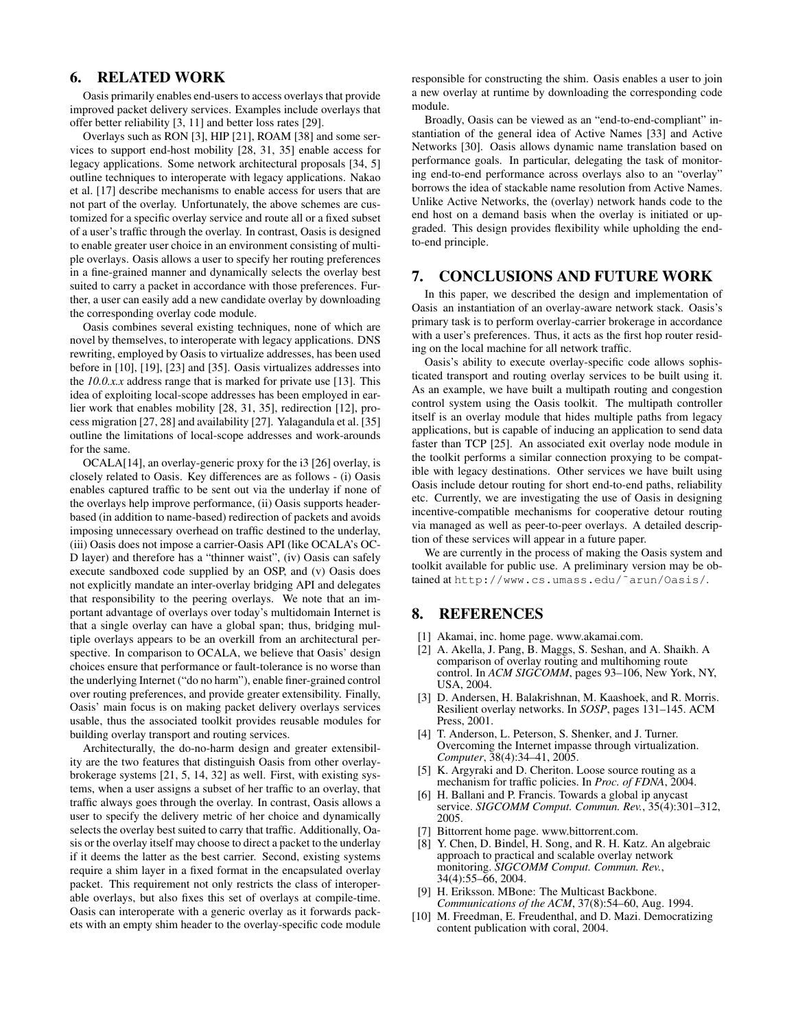## 6. RELATED WORK

Oasis primarily enables end-users to access overlays that provide improved packet delivery services. Examples include overlays that offer better reliability [3, 11] and better loss rates [29].

Overlays such as RON [3], HIP [21], ROAM [38] and some services to support end-host mobility [28, 31, 35] enable access for legacy applications. Some network architectural proposals [34, 5] outline techniques to interoperate with legacy applications. Nakao et al. [17] describe mechanisms to enable access for users that are not part of the overlay. Unfortunately, the above schemes are customized for a specific overlay service and route all or a fixed subset of a user's traffic through the overlay. In contrast, Oasis is designed to enable greater user choice in an environment consisting of multiple overlays. Oasis allows a user to specify her routing preferences in a fine-grained manner and dynamically selects the overlay best suited to carry a packet in accordance with those preferences. Further, a user can easily add a new candidate overlay by downloading the corresponding overlay code module.

Oasis combines several existing techniques, none of which are novel by themselves, to interoperate with legacy applications. DNS rewriting, employed by Oasis to virtualize addresses, has been used before in [10], [19], [23] and [35]. Oasis virtualizes addresses into the *10.0.x.x* address range that is marked for private use [13]. This idea of exploiting local-scope addresses has been employed in earlier work that enables mobility [28, 31, 35], redirection [12], process migration [27, 28] and availability [27]. Yalagandula et al. [35] outline the limitations of local-scope addresses and work-arounds for the same.

OCALA[14], an overlay-generic proxy for the i3 [26] overlay, is closely related to Oasis. Key differences are as follows - (i) Oasis enables captured traffic to be sent out via the underlay if none of the overlays help improve performance, (ii) Oasis supports headerbased (in addition to name-based) redirection of packets and avoids imposing unnecessary overhead on traffic destined to the underlay, (iii) Oasis does not impose a carrier-Oasis API (like OCALA's OC-D layer) and therefore has a "thinner waist", (iv) Oasis can safely execute sandboxed code supplied by an OSP, and (v) Oasis does not explicitly mandate an inter-overlay bridging API and delegates that responsibility to the peering overlays. We note that an important advantage of overlays over today's multidomain Internet is that a single overlay can have a global span; thus, bridging multiple overlays appears to be an overkill from an architectural perspective. In comparison to OCALA, we believe that Oasis' design choices ensure that performance or fault-tolerance is no worse than the underlying Internet ("do no harm"), enable finer-grained control over routing preferences, and provide greater extensibility. Finally, Oasis' main focus is on making packet delivery overlays services usable, thus the associated toolkit provides reusable modules for building overlay transport and routing services.

Architecturally, the do-no-harm design and greater extensibility are the two features that distinguish Oasis from other overlaybrokerage systems [21, 5, 14, 32] as well. First, with existing systems, when a user assigns a subset of her traffic to an overlay, that traffic always goes through the overlay. In contrast, Oasis allows a user to specify the delivery metric of her choice and dynamically selects the overlay best suited to carry that traffic. Additionally, Oasis or the overlay itself may choose to direct a packet to the underlay if it deems the latter as the best carrier. Second, existing systems require a shim layer in a fixed format in the encapsulated overlay packet. This requirement not only restricts the class of interoperable overlays, but also fixes this set of overlays at compile-time. Oasis can interoperate with a generic overlay as it forwards packets with an empty shim header to the overlay-specific code module

responsible for constructing the shim. Oasis enables a user to join a new overlay at runtime by downloading the corresponding code module.

Broadly, Oasis can be viewed as an "end-to-end-compliant" instantiation of the general idea of Active Names [33] and Active Networks [30]. Oasis allows dynamic name translation based on performance goals. In particular, delegating the task of monitoring end-to-end performance across overlays also to an "overlay" borrows the idea of stackable name resolution from Active Names. Unlike Active Networks, the (overlay) network hands code to the end host on a demand basis when the overlay is initiated or upgraded. This design provides flexibility while upholding the endto-end principle.

## 7. CONCLUSIONS AND FUTURE WORK

In this paper, we described the design and implementation of Oasis an instantiation of an overlay-aware network stack. Oasis's primary task is to perform overlay-carrier brokerage in accordance with a user's preferences. Thus, it acts as the first hop router residing on the local machine for all network traffic.

Oasis's ability to execute overlay-specific code allows sophisticated transport and routing overlay services to be built using it. As an example, we have built a multipath routing and congestion control system using the Oasis toolkit. The multipath controller itself is an overlay module that hides multiple paths from legacy applications, but is capable of inducing an application to send data faster than TCP [25]. An associated exit overlay node module in the toolkit performs a similar connection proxying to be compatible with legacy destinations. Other services we have built using Oasis include detour routing for short end-to-end paths, reliability etc. Currently, we are investigating the use of Oasis in designing incentive-compatible mechanisms for cooperative detour routing via managed as well as peer-to-peer overlays. A detailed description of these services will appear in a future paper.

We are currently in the process of making the Oasis system and toolkit available for public use. A preliminary version may be obtained at http://www.cs.umass.edu/˜arun/Oasis/.

## 8. REFERENCES

- [1] Akamai, inc. home page. www.akamai.com.
- [2] A. Akella, J. Pang, B. Maggs, S. Seshan, and A. Shaikh. A comparison of overlay routing and multihoming route control. In *ACM SIGCOMM*, pages 93–106, New York, NY, USA, 2004.
- [3] D. Andersen, H. Balakrishnan, M. Kaashoek, and R. Morris. Resilient overlay networks. In *SOSP*, pages 131–145. ACM Press, 2001.
- [4] T. Anderson, L. Peterson, S. Shenker, and J. Turner. Overcoming the Internet impasse through virtualization. *Computer*, 38(4):34–41, 2005.
- [5] K. Argyraki and D. Cheriton. Loose source routing as a mechanism for traffic policies. In *Proc. of FDNA*, 2004.
- [6] H. Ballani and P. Francis. Towards a global ip anycast service. *SIGCOMM Comput. Commun. Rev.*, 35(4):301–312, 2005.
- [7] Bittorrent home page. www.bittorrent.com.
- [8] Y. Chen, D. Bindel, H. Song, and R. H. Katz. An algebraic approach to practical and scalable overlay network monitoring. *SIGCOMM Comput. Commun. Rev.*, 34(4):55–66, 2004.
- [9] H. Eriksson. MBone: The Multicast Backbone. *Communications of the ACM*, 37(8):54–60, Aug. 1994.
- [10] M. Freedman, E. Freudenthal, and D. Mazi. Democratizing content publication with coral, 2004.